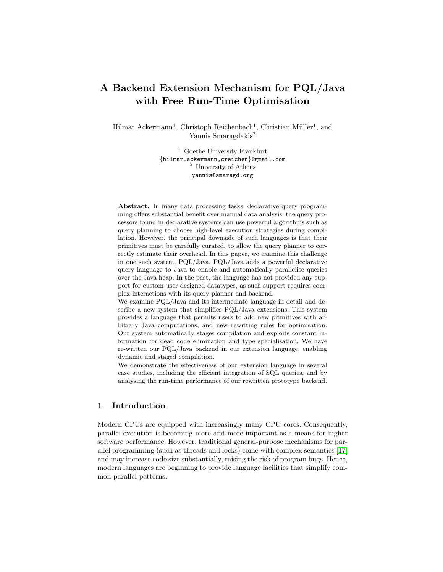# A Backend Extension Mechanism for PQL/Java with Free Run-Time Optimisation

Hilmar Ackermann<sup>1</sup>, Christoph Reichenbach<sup>1</sup>, Christian Müller<sup>1</sup>, and Yannis Smaragdakis<sup>2</sup>

> <sup>1</sup> Goethe University Frankfurt {hilmar.ackermann,creichen}@gmail.com <sup>2</sup> University of Athens yannis@smaragd.org

Abstract. In many data processing tasks, declarative query programming offers substantial benefit over manual data analysis: the query processors found in declarative systems can use powerful algorithms such as query planning to choose high-level execution strategies during compilation. However, the principal downside of such languages is that their primitives must be carefully curated, to allow the query planner to correctly estimate their overhead. In this paper, we examine this challenge in one such system, PQL/Java. PQL/Java adds a powerful declarative query language to Java to enable and automatically parallelise queries over the Java heap. In the past, the language has not provided any support for custom user-designed datatypes, as such support requires complex interactions with its query planner and backend.

We examine PQL/Java and its intermediate language in detail and describe a new system that simplifies PQL/Java extensions. This system provides a language that permits users to add new primitives with arbitrary Java computations, and new rewriting rules for optimisation. Our system automatically stages compilation and exploits constant information for dead code elimination and type specialisation. We have re-written our PQL/Java backend in our extension language, enabling dynamic and staged compilation.

We demonstrate the effectiveness of our extension language in several case studies, including the efficient integration of SQL queries, and by analysing the run-time performance of our rewritten prototype backend.

# 1 Introduction

Modern CPUs are equipped with increasingly many CPU cores. Consequently, parallel execution is becoming more and more important as a means for higher software performance. However, traditional general-purpose mechanisms for parallel programming (such as threads and locks) come with complex semantics [\[17\]](#page-19-0) and may increase code size substantially, raising the risk of program bugs. Hence, modern languages are beginning to provide language facilities that simplify common parallel patterns.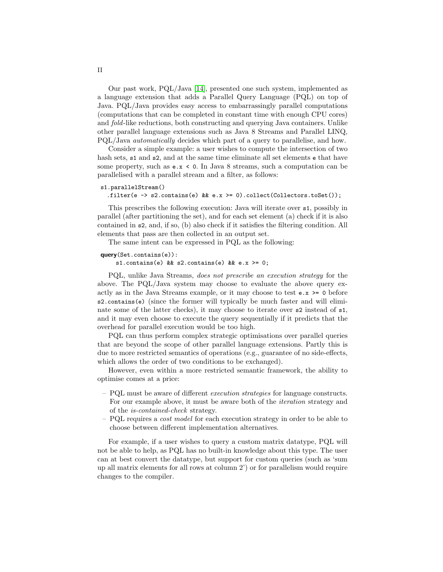Our past work, PQL/Java [\[14\]](#page-19-1), presented one such system, implemented as a language extension that adds a Parallel Query Language (PQL) on top of Java. PQL/Java provides easy access to embarrassingly parallel computations (computations that can be completed in constant time with enough CPU cores) and fold-like reductions, both constructing and querying Java containers. Unlike other parallel language extensions such as Java 8 Streams and Parallel LINQ, PQL/Java automatically decides which part of a query to parallelise, and how.

Consider a simple example: a user wishes to compute the intersection of two hash sets, s1 and s2, and at the same time eliminate all set elements **e** that have some property, such as  $e.x < 0$ . In Java 8 streams, such a computation can be parallelised with a parallel stream and a filter, as follows:

```
s1.parallelStream()
```
.filter(e -> s2.contains(e) && e.x >= 0).collect(Collectors.toSet());

This prescribes the following execution: Java will iterate over s1, possibly in parallel (after partitioning the set), and for each set element (a) check if it is also contained in s2, and, if so, (b) also check if it satisfies the filtering condition. All elements that pass are then collected in an output set.

The same intent can be expressed in PQL as the following:

#### query(Set.contains(e)):

s1.contains(e) && s2.contains(e) && e.x >= 0;

PQL, unlike Java Streams, does not prescribe an execution strategy for the above. The PQL/Java system may choose to evaluate the above query exactly as in the Java Streams example, or it may choose to test e.x >= 0 before s2.contains(e) (since the former will typically be much faster and will eliminate some of the latter checks), it may choose to iterate over s2 instead of s1, and it may even choose to execute the query sequentially if it predicts that the overhead for parallel execution would be too high.

PQL can thus perform complex strategic optimisations over parallel queries that are beyond the scope of other parallel language extensions. Partly this is due to more restricted semantics of operations (e.g., guarantee of no side-effects, which allows the order of two conditions to be exchanged).

However, even within a more restricted semantic framework, the ability to optimise comes at a price:

- PQL must be aware of different execution strategies for language constructs. For our example above, it must be aware both of the iteration strategy and of the is-contained-check strategy.
- PQL requires a cost model for each execution strategy in order to be able to choose between different implementation alternatives.

For example, if a user wishes to query a custom matrix datatype, PQL will not be able to help, as PQL has no built-in knowledge about this type. The user can at best convert the datatype, but support for custom queries (such as 'sum up all matrix elements for all rows at column 2') or for parallelism would require changes to the compiler.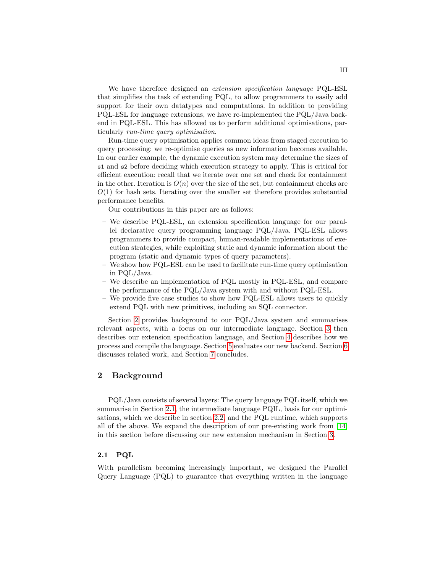We have therefore designed an extension specification language PQL-ESL that simplifies the task of extending PQL, to allow programmers to easily add support for their own datatypes and computations. In addition to providing PQL-ESL for language extensions, we have re-implemented the PQL/Java backend in PQL-ESL. This has allowed us to perform additional optimisations, particularly run-time query optimisation.

Run-time query optimisation applies common ideas from staged execution to query processing: we re-optimise queries as new information becomes available. In our earlier example, the dynamic execution system may determine the sizes of s1 and s2 before deciding which execution strategy to apply. This is critical for efficient execution: recall that we iterate over one set and check for containment in the other. Iteration is  $O(n)$  over the size of the set, but containment checks are  $O(1)$  for hash sets. Iterating over the smaller set therefore provides substantial performance benefits.

Our contributions in this paper are as follows:

- We describe PQL-ESL, an extension specification language for our parallel declarative query programming language PQL/Java. PQL-ESL allows programmers to provide compact, human-readable implementations of execution strategies, while exploiting static and dynamic information about the program (static and dynamic types of query parameters).
- We show how PQL-ESL can be used to facilitate run-time query optimisation in PQL/Java.
- We describe an implementation of PQL mostly in PQL-ESL, and compare the performance of the PQL/Java system with and without PQL-ESL.
- We provide five case studies to show how PQL-ESL allows users to quickly extend PQL with new primitives, including an SQL connector.

Section [2](#page-2-0) provides background to our PQL/Java system and summarises relevant aspects, with a focus on our intermediate language. Section [3](#page-7-0) then describes our extension specification language, and Section [4](#page-11-0) describes how we process and compile the language. Section [5](#page-13-0) evaluates our new backend. Section [6](#page-17-0) discusses related work, and Section [7](#page-18-0) concludes.

# <span id="page-2-0"></span>2 Background

PQL/Java consists of several layers: The query language PQL itself, which we summarise in Section [2.1,](#page-2-1) the intermediate language PQIL, basis for our optimisations, which we describe in section [2.2,](#page-4-0) and the PQL runtime, which supports all of the above. We expand the description of our pre-existing work from [\[14\]](#page-19-1) in this section before discussing our new extension mechanism in Section [3.](#page-7-0)

## <span id="page-2-1"></span>2.1 PQL

With parallelism becoming increasingly important, we designed the Parallel Query Language (PQL) to guarantee that everything written in the language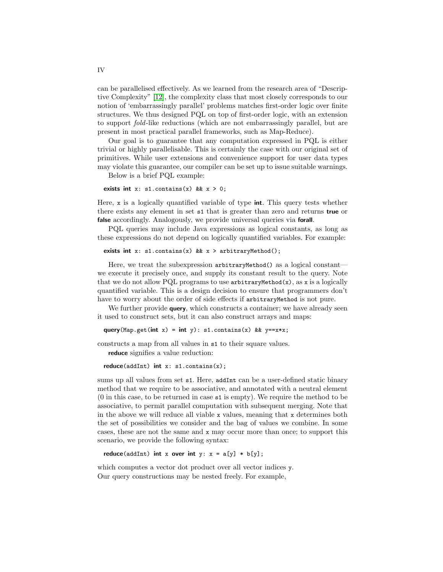can be parallelised effectively. As we learned from the research area of "Descriptive Complexity" [\[12\]](#page-19-2), the complexity class that most closely corresponds to our notion of 'embarrassingly parallel' problems matches first-order logic over finite structures. We thus designed PQL on top of first-order logic, with an extension to support fold-like reductions (which are not embarrassingly parallel, but are present in most practical parallel frameworks, such as Map-Reduce).

Our goal is to guarantee that any computation expressed in PQL is either trivial or highly parallelisable. This is certainly the case with our original set of primitives. While user extensions and convenience support for user data types may violate this guarantee, our compiler can be set up to issue suitable warnings.

Below is a brief PQL example:

```
exists int x: s1.contains(x) & x > 0;
```
Here, x is a logically quantified variable of type int. This query tests whether there exists any element in set s1 that is greater than zero and returns true or false accordingly. Analogously, we provide universal queries via forall.

PQL queries may include Java expressions as logical constants, as long as these expressions do not depend on logically quantified variables. For example:

exists int  $x: s1.$ contains(x) &&  $x >$  arbitraryMethod();

Here, we treat the subexpression arbitraryMethod() as a logical constant we execute it precisely once, and supply its constant result to the query. Note that we do not allow PQL programs to use  $arbitraryMethod(x)$ , as x is a logically quantified variable. This is a design decision to ensure that programmers don't have to worry about the order of side effects if arbitraryMethod is not pure.

We further provide **query**, which constructs a container; we have already seen it used to construct sets, but it can also construct arrays and maps:

query(Map.get(int x) = int y): s1.contains(x) &&  $y = x*x$ ;

constructs a map from all values in s1 to their square values.

reduce signifies a value reduction:

```
reduce(addInt) int x: s1.contains(x);
```
sums up all values from set s1. Here, addInt can be a user-defined static binary method that we require to be associative, and annotated with a neutral element (0 in this case, to be returned in case s1 is empty). We require the method to be associative, to permit parallel computation with subsequent merging. Note that in the above we will reduce all viable x values, meaning that x determines both the set of possibilities we consider and the bag of values we combine. In some cases, these are not the same and x may occur more than once; to support this scenario, we provide the following syntax:

```
reduce(addInt) int x over int y: x = a[y] * b[y];
```
which computes a vector dot product over all vector indices  $\gamma$ . Our query constructions may be nested freely. For example,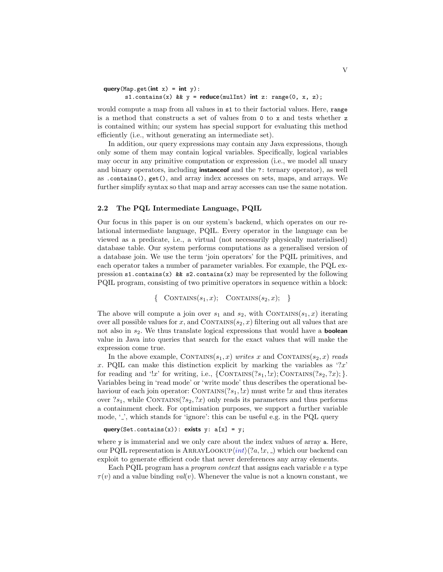query(Map.get(int  $x$ ) = int  $y$ ):  $s1.$ contains(x) &&  $y =$  reduce(mulInt) int z: range(0, x, z);

would compute a map from all values in s1 to their factorial values. Here, range is a method that constructs a set of values from 0 to x and tests whether z is contained within; our system has special support for evaluating this method efficiently (i.e., without generating an intermediate set).

In addition, our query expressions may contain any Java expressions, though only some of them may contain logical variables. Specifically, logical variables may occur in any primitive computation or expression (i.e., we model all unary and binary operators, including instanceof and the ?: ternary operator), as well as .contains(), get(), and array index accesses on sets, maps, and arrays. We further simplify syntax so that map and array accesses can use the same notation.

#### <span id="page-4-0"></span>2.2 The PQL Intermediate Language, PQIL

Our focus in this paper is on our system's backend, which operates on our relational intermediate language, PQIL. Every operator in the language can be viewed as a predicate, i.e., a virtual (not necessarily physically materialised) database table. Our system performs computations as a generalised version of a database join. We use the term 'join operators' for the PQIL primitives, and each operator takes a number of parameter variables. For example, the PQL expression  $s1$ .contains(x) &&  $s2$ .contains(x) may be represented by the following PQIL program, consisting of two primitive operators in sequence within a block:

{  $CONTAINS(s_1, x);$   $CONTAINS(s_2, x);$  }

The above will compute a join over  $s_1$  and  $s_2$ , with CONTAINS( $s_1, x$ ) iterating over all possible values for x, and CONTAINS( $s_2, x$ ) filtering out all values that are not also in  $s_2$ . We thus translate logical expressions that would have a **boolean** value in Java into queries that search for the exact values that will make the expression come true.

In the above example, CONTAINS( $s_1, x$ ) writes x and CONTAINS( $s_2, x$ ) reads x. PQIL can make this distinction explicit by marking the variables as  $?x'$ for reading and '!x' for writing, i.e.,  $\{CONTAINS(?s_1, !x); CONTAINS(?s_2, ?x); \}.$ Variables being in 'read mode' or 'write mode' thus describes the operational behaviour of each join operator: CONTAINS( $?s_1, !x$ ) must write  $!x$  and thus iterates over  $?s_1$ , while CONTAINS( $?s_2$ ,  $x$ ) only reads its parameters and thus performs a containment check. For optimisation purposes, we support a further variable mode,  $\cdot$ , which stands for  $\cdot$ ignore': this can be useful e.g. in the PQL query

```
query(Set.contains(x)): exists y: a[x] = y;
```
where y is immaterial and we only care about the index values of array **a**. Here, our PQIL representation is ARRAYLOOKUP $\langle int \rangle(?a, !x, \ldots)$  which our backend can exploit to generate efficient code that never dereferences any array elements.

Each PQIL program has a *program context* that assigns each variable  $v$  a type  $\tau(v)$  and a value binding val(v). Whenever the value is not a known constant, we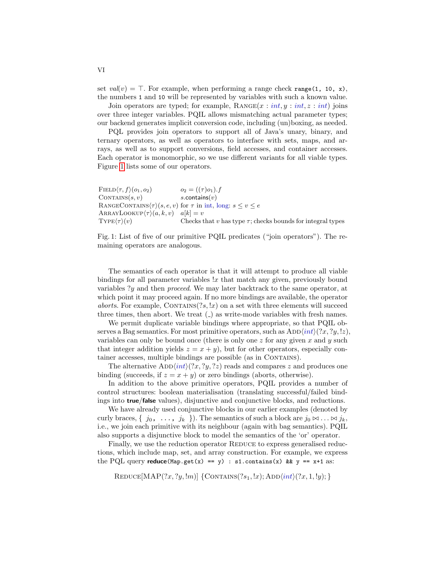set  $val(v) = \top$ . For example, when performing a range check range (1, 10, x), the numbers 1 and 10 will be represented by variables with such a known value.

Join operators are typed; for example,  $\text{RANGE}(x : int, y : int, z : int)$  joins over three integer variables. PQIL allows mismatching actual parameter types; our backend generates implicit conversion code, including (un)boxing, as needed.

PQL provides join operators to support all of Java's unary, binary, and ternary operators, as well as operators to interface with sets, maps, and arrays, as well as to support conversions, field accesses, and container accesses. Each operator is monomorphic, so we use different variants for all viable types. Figure [1](#page-5-0) lists some of our operators.

<span id="page-5-0"></span>FIELD $\langle \tau, f \rangle (o_1, o_2)$   $o_2 = ((\tau) o_1) \cdot f$  $CONTAINS(s, v)$  s.contains $(v)$ RANGECONTAINS $\langle \tau \rangle (s, e, v)$  for  $\tau$  in int, long:  $s \le v \le e$ ARRAYLOOKUP $\langle \tau \rangle (a, k, v)$   $a[k] = v$  $TYPE(\tau)(v)$  Checks that v has type  $\tau$ ; checks bounds for integral types

Fig. 1: List of five of our primitive PQIL predicates ("join operators"). The remaining operators are analogous.

The semantics of each operator is that it will attempt to produce all viable bindings for all parameter variables !x that match any given, previously bound variables  $?y$  and then *proceed*. We may later backtrack to the same operator, at which point it may proceed again. If no more bindings are available, the operator aborts. For example, CONTAINS $(?s, !x)$  on a set with three elements will succeed three times, then abort. We treat ( $\overline{a}$ ) as write-mode variables with fresh names.

We permit duplicate variable bindings where appropriate, so that PQIL observes a Bag semantics. For most primitive operators, such as  $ADD\langle int \rangle(?x, ?y, !z),$ variables can only be bound once (there is only one  $z$  for any given x and y such that integer addition yields  $z = x + y$ , but for other operators, especially container accesses, multiple bindings are possible (as in CONTAINS).

The alternative  $\text{ADD}\langle int \rangle(?x, ?y, ?z)$  reads and compares z and produces one binding (succeeds, if  $z = x + y$ ) or zero bindings (aborts, otherwise).

In addition to the above primitive operators, PQIL provides a number of control structures: boolean materialisation (translating successful/failed bindings into true/false values), disjunctive and conjunctive blocks, and reductions.

We have already used conjunctive blocks in our earlier examples (denoted by curly braces,  $\{j_0, \ldots, j_k\}$ . The semantics of such a block are  $j_0 \bowtie \ldots \bowtie j_k$ , i.e., we join each primitive with its neighbour (again with bag semantics). PQIL also supports a disjunctive block to model the semantics of the 'or' operator.

Finally, we use the reduction operator REDUCE to express generalised reductions, which include map, set, and array construction. For example, we express the PQL query reduce(Map.get(x) == y) : s1.contains(x) &&  $y = x+1$  as:

REDUCE[MAP $(?x, ?y, !m)$ ] {CONTAINS $(?s_1, !x)$ ; ADD $\langle int \rangle(?x, 1, !y);$ }

VI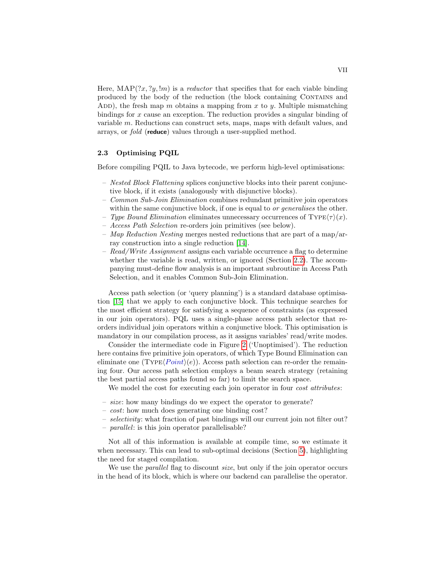Here,  $\text{MAP}(?x, ?y, !m)$  is a *reductor* that specifies that for each viable binding produced by the body of the reduction (the block containing Contains and ADD), the fresh map m obtains a mapping from x to y. Multiple mismatching bindings for x cause an exception. The reduction provides a singular binding of variable m. Reductions can construct sets, maps, maps with default values, and arrays, or *fold* (reduce) values through a user-supplied method.

## <span id="page-6-0"></span>2.3 Optimising PQIL

Before compiling PQIL to Java bytecode, we perform high-level optimisations:

- Nested Block Flattening splices conjunctive blocks into their parent conjunctive block, if it exists (analogously with disjunctive blocks).
- $\sim$  Common Sub-Join Elimination combines redundant primitive join operators within the same conjunctive block, if one is equal to *or generalises* the other.
- Type Bound Elimination eliminates unnecessary occurrences of  $TYPE(\tau)(x)$ .
- Access Path Selection re-orders join primitives (see below).
- Map Reduction Nesting merges nested reductions that are part of a map/array construction into a single reduction [\[14\]](#page-19-1).
- Read/Write Assignment assigns each variable occurrence a flag to determine whether the variable is read, written, or ignored (Section [2.2\)](#page-4-0). The accompanying must-define flow analysis is an important subroutine in Access Path Selection, and it enables Common Sub-Join Elimination.

Access path selection (or 'query planning') is a standard database optimisation [\[15\]](#page-19-3) that we apply to each conjunctive block. This technique searches for the most efficient strategy for satisfying a sequence of constraints (as expressed in our join operators). PQL uses a single-phase access path selector that reorders individual join operators within a conjunctive block. This optimisation is mandatory in our compilation process, as it assigns variables' read/write modes.

Consider the intermediate code in Figure [2](#page-7-1) ('Unoptimised'). The reduction here contains five primitive join operators, of which Type Bound Elimination can eliminate one  $(TYPE\langle Point \rangle(e))$ . Access path selection can re-order the remaining four. Our access path selection employs a beam search strategy (retaining the best partial access paths found so far) to limit the search space.

We model the cost for executing each join operator in four *cost attributes*:

- size: how many bindings do we expect the operator to generate?
- cost: how much does generating one binding cost?
- selectivity: what fraction of past bindings will our current join not filter out?
- parallel: is this join operator parallelisable?

Not all of this information is available at compile time, so we estimate it when necessary. This can lead to sub-optimal decisions (Section [5\)](#page-13-0), highlighting the need for staged compilation.

We use the *parallel* flag to discount *size*, but only if the join operator occurs in the head of its block, which is where our backend can parallelise the operator.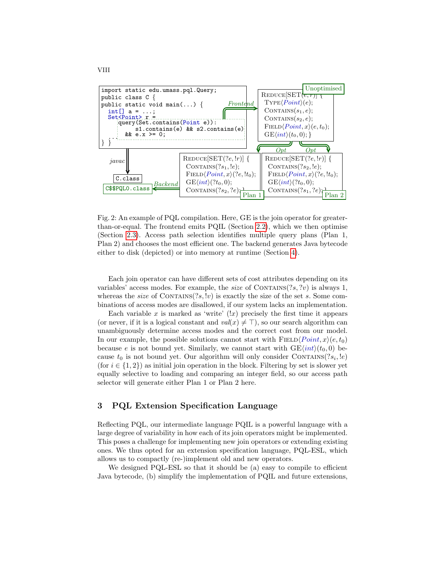

<span id="page-7-1"></span>VIII

Fig. 2: An example of PQL compilation. Here, GE is the join operator for greaterthan-or-equal. The frontend emits PQIL (Section [2.2\)](#page-4-0), which we then optimise (Section [2.3\)](#page-6-0). Access path selection identifies multiple query plans (Plan 1, Plan 2) and chooses the most efficient one. The backend generates Java bytecode either to disk (depicted) or into memory at runtime (Section [4\)](#page-11-0).

Each join operator can have different sets of cost attributes depending on its variables' access modes. For example, the *size* of CONTAINS $(?s, ?v)$  is always 1, whereas the *size* of CONTAINS $(?s, !v)$  is exactly the size of the set s. Some combinations of access modes are disallowed, if our system lacks an implementation.

Each variable x is marked as 'write'  $(!x)$  precisely the first time it appears (or never, if it is a logical constant and  $val(x) \neq \top$ ), so our search algorithm can unambiguously determine access modes and the correct cost from our model. In our example, the possible solutions cannot start with  $F\text{IED}(Point, x)(e, t_0)$ because e is not bound yet. Similarly, we cannot start with  $GE\langle int \rangle(t_0, 0)$  because  $t_0$  is not bound yet. Our algorithm will only consider CONTAINS $(2s_i, le)$ (for  $i \in \{1,2\}$ ) as initial join operation in the block. Filtering by set is slower yet equally selective to loading and comparing an integer field, so our access path selector will generate either Plan 1 or Plan 2 here.

## <span id="page-7-0"></span>3 PQL Extension Specification Language

Reflecting PQL, our intermediate language PQIL is a powerful language with a large degree of variability in how each of its join operators might be implemented. This poses a challenge for implementing new join operators or extending existing ones. We thus opted for an extension specification language, PQL-ESL, which allows us to compactly (re-)implement old and new operators.

We designed PQL-ESL so that it should be (a) easy to compile to efficient Java bytecode, (b) simplify the implementation of PQIL and future extensions,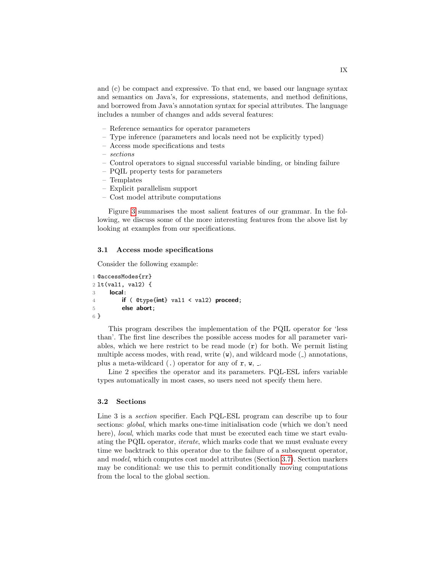and (c) be compact and expressive. To that end, we based our language syntax and semantics on Java's, for expressions, statements, and method definitions, and borrowed from Java's annotation syntax for special attributes. The language includes a number of changes and adds several features:

- Reference semantics for operator parameters
- Type inference (parameters and locals need not be explicitly typed)
- Access mode specifications and tests
- sections
- Control operators to signal successful variable binding, or binding failure
- PQIL property tests for parameters
- Templates
- Explicit parallelism support
- Cost model attribute computations

Figure [3](#page-9-0) summarises the most salient features of our grammar. In the following, we discuss some of the more interesting features from the above list by looking at examples from our specifications.

## 3.1 Access mode specifications

Consider the following example:

```
1 @accessModes{rr}
2 lt(val1, val2) {
3 local:
4 if ( @type{int} val1 < val2) proceed;
5 else abort;
6 }
```
This program describes the implementation of the PQIL operator for 'less than'. The first line describes the possible access modes for all parameter variables, which we here restrict to be read mode  $(r)$  for both. We permit listing multiple access modes, with read, write  $(w)$ , and wildcard mode  $(\square)$  annotations, plus a meta-wildcard (.) operator for any of  $r, w, ...$ 

Line 2 specifies the operator and its parameters. PQL-ESL infers variable types automatically in most cases, so users need not specify them here.

#### 3.2 Sections

Line 3 is a *section* specifier. Each PQL-ESL program can describe up to four sections: *global*, which marks one-time initialisation code (which we don't need here), *local*, which marks code that must be executed each time we start evaluating the PQIL operator, iterate, which marks code that we must evaluate every time we backtrack to this operator due to the failure of a subsequent operator, and model, which computes cost model attributes (Section [3.7\)](#page-11-1). Section markers may be conditional: we use this to permit conditionally moving computations from the local to the global section.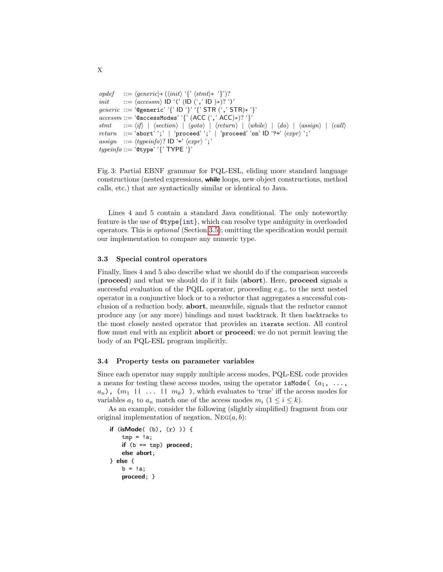```
opdef ::= \langle \text{generic} \rangle * (\langle \text{init} \rangle ' \{ \langle \text{stmt} \rangle * ' \} )?
init ::=\langle \text{accessm} \rangle ID '(' (ID (',' ID )∗)? ')'
generic ::= '@generic' '{' ID '}' '{' STR (',' STR)∗ '}'
accessm ::= '@accessModes' '{' (ACC (',' ACC)∗)? '}'
stmt \;\;::=\langle if \rangle \; | \; \langle section \rangle \; | \; \langle goto \rangle \; | \; \langle return \rangle \; | \; \langle while \rangle \; | \; \langle do \rangle \; | \; \langle assign \rangle \; | \; \langle call \ranglereturn ::= 'abort' ';' | 'proceed' ';' | 'proceed' 'on' ID '?=' hexpri ';'
assign  ::= \langle typeinfo \rangle? ID '=' \langle expr \rangle';'
typeinfo ::= '@type' ' {'} TYPE '}'
```
Fig. 3: Partial EBNF grammar for PQL-ESL, eliding more standard language constructions (nested expressions, while loops, new object constructions, method calls, etc.) that are syntactically similar or identical to Java.

Lines 4 and 5 contain a standard Java conditional. The only noteworthy feature is the use of @type{int}, which can resolve type ambiguity in overloaded operators. This is optional (Section [3.5\)](#page-10-0); omitting the specification would permit our implementation to compare any numeric type.

#### 3.3 Special control operators

Finally, lines 4 and 5 also describe what we should do if the comparison succeeds (proceed) and what we should do if it fails (abort). Here, proceed signals a successful evaluation of the PQIL operator, proceeding e.g., to the next nested operator in a conjunctive block or to a reductor that aggregates a successful conclusion of a reduction body. abort, meanwhile, signals that the reductor cannot produce any (or any more) bindings and must backtrack. It then backtracks to the most closely nested operator that provides an iterate section. All control flow must end with an explicit **abort** or **proceed**; we do not permit leaving the body of an PQL-ESL program implicitly.

#### 3.4 Property tests on parameter variables

Since each operator may supply multiple access modes, PQL-ESL code provides a means for testing these access modes, using the operator is Mode ( $(a_1, \ldots, a_n)$  $a_n$ ),  $(m_1 \mid \cdot \cdot \cdot \cdot \mid \cdot \mid m_k)$ ), which evaluates to 'true' iff the access modes for variables  $a_1$  to  $a_n$  match one of the access modes  $m_i$   $(1 \le i \le k)$ .

As an example, consider the following (slightly simplified) fragment from our original implementation of negation,  $NEG(a, b)$ :

```
if (isMode( (b), (r) )) {
   tmp = !a;if (b == tmp) proceed;
   else abort;
} else {
   b = !a;
   proceed; }
```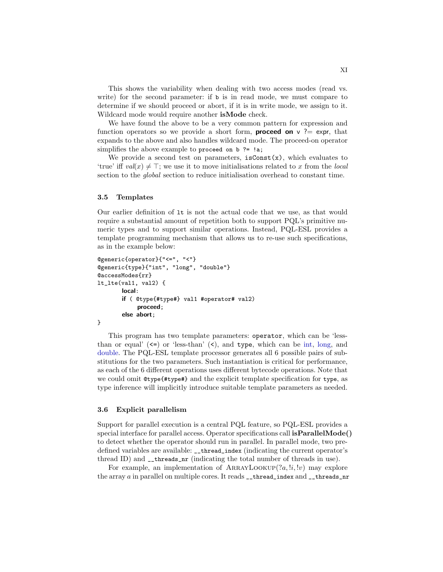This shows the variability when dealing with two access modes (read vs. write) for the second parameter: if b is in read mode, we must compare to determine if we should proceed or abort, if it is in write mode, we assign to it. Wildcard mode would require another isMode check.

We have found the above to be a very common pattern for expression and function operators so we provide a short form, **proceed on**  $\vee$  ?= expr, that expands to the above and also handles wildcard mode. The proceed-on operator simplifies the above example to proceed on b ?= !a;

We provide a second test on parameters,  $isConst(x)$ , which evaluates to 'true' iff  $val(x) \neq \top$ ; we use it to move initialisations related to x from the local section to the *global* section to reduce initialisation overhead to constant time.

#### <span id="page-10-0"></span>3.5 Templates

Our earlier definition of lt is not the actual code that we use, as that would require a substantial amount of repetition both to support PQL's primitive numeric types and to support similar operations. Instead, PQL-ESL provides a template programming mechanism that allows us to re-use such specifications, as in the example below:

```
@generic{operator}{"<=", "<"}
@generic{type}{"int", "long", "double"}
@accessModes{rr}
lt_lte(val1, val2) {
       local:
       if ( @type{#type#} val1 #operator# val2)
            proceed;
       else abort;
}
```
This program has two template parameters: operator, which can be 'lessthan or equal'  $(\leq)$  or 'less-than'  $(\leq)$ , and type, which can be int, long, and double. The PQL-ESL template processor generates all 6 possible pairs of substitutions for the two parameters. Such instantiation is critical for performance, as each of the 6 different operations uses different bytecode operations. Note that we could omit  $Q$ type $\{\text{#type}\}$  and the explicit template specification for type, as type inference will implicitly introduce suitable template parameters as needed.

#### 3.6 Explicit parallelism

Support for parallel execution is a central PQL feature, so PQL-ESL provides a special interface for parallel access. Operator specifications call isParallelMode() to detect whether the operator should run in parallel. In parallel mode, two predefined variables are available: \_\_thread\_index (indicating the current operator's thread ID) and \_\_threads\_nr (indicating the total number of threads in use).

For example, an implementation of  $ARRAYLOOKUP(?a, 'i, 'v)$  may explore the array a in parallel on multiple cores. It reads \_\_thread\_index and \_\_threads\_nr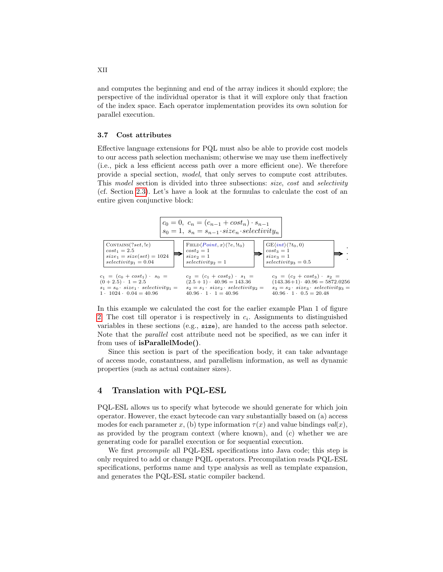and computes the beginning and end of the array indices it should explore; the perspective of the individual operator is that it will explore only that fraction of the index space. Each operator implementation provides its own solution for parallel execution.

### <span id="page-11-1"></span>3.7 Cost attributes

Effective language extensions for PQL must also be able to provide cost models to our access path selection mechanism; otherwise we may use them ineffectively (i.e., pick a less efficient access path over a more efficient one). We therefore provide a special section, model, that only serves to compute cost attributes. This model section is divided into three subsections: *size, cost* and *selectivity* (cf. Section [2.3\)](#page-6-0). Let's have a look at the formulas to calculate the cost of an entire given conjunctive block:



In this example we calculated the cost for the earlier example Plan 1 of figure [2.](#page-7-1) The cost till operator i is respectively in  $c_i$ . Assignments to distinguished variables in these sections (e.g., size), are handed to the access path selector. Note that the parallel cost attribute need not be specified, as we can infer it from uses of isParallelMode().

Since this section is part of the specification body, it can take advantage of access mode, constantness, and parallelism information, as well as dynamic properties (such as actual container sizes).

## <span id="page-11-0"></span>4 Translation with PQL-ESL

PQL-ESL allows us to specify what bytecode we should generate for which join operator. However, the exact bytecode can vary substantially based on (a) access modes for each parameter x, (b) type information  $\tau(x)$  and value bindings val(x), as provided by the program context (where known), and (c) whether we are generating code for parallel execution or for sequential execution.

We first *precompile* all PQL-ESL specifications into Java code; this step is only required to add or change PQIL operators. Precompilation reads PQL-ESL specifications, performs name and type analysis as well as template expansion, and generates the PQL-ESL static compiler backend.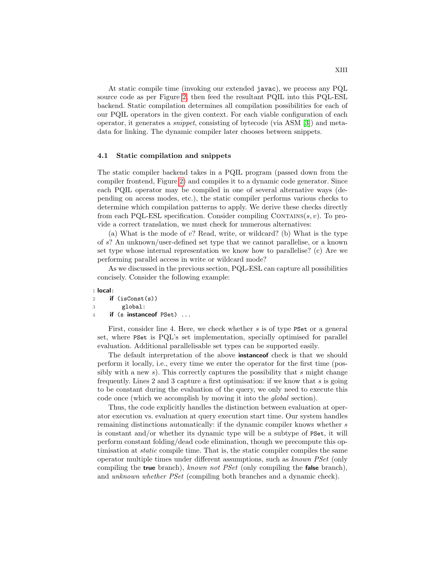At static compile time (invoking our extended javac), we process any PQL source code as per Figure [2,](#page-7-1) then feed the resultant PQIL into this PQL-ESL backend. Static compilation determines all compilation possibilities for each of our PQIL operators in the given context. For each viable configuration of each operator, it generates a snippet, consisting of bytecode (via ASM [\[3\]](#page-19-4)) and metadata for linking. The dynamic compiler later chooses between snippets.

#### 4.1 Static compilation and snippets

The static compiler backend takes in a PQIL program (passed down from the compiler frontend, Figure [2\)](#page-7-1) and compiles it to a dynamic code generator. Since each PQIL operator may be compiled in one of several alternative ways (depending on access modes, etc.), the static compiler performs various checks to determine which compilation patterns to apply. We derive these checks directly from each PQL-ESL specification. Consider compiling CONTAINS $(s, v)$ . To provide a correct translation, we must check for numerous alternatives:

(a) What is the mode of  $v$ ? Read, write, or wildcard? (b) What is the type of s? An unknown/user-defined set type that we cannot parallelise, or a known set type whose internal representation we know how to parallelise? (c) Are we performing parallel access in write or wildcard mode?

As we discussed in the previous section, PQL-ESL can capture all possibilities concisely. Consider the following example:

#### $1$  local:

```
2 if (isConst(s))
3 global:
4 if (s instanceof PSet) ...
```
First, consider line 4. Here, we check whether s is of type PSet or a general set, where PSet is PQL's set implementation, specially optimised for parallel evaluation. Additional parallelisable set types can be supported easily.

The default interpretation of the above **instance of** check is that we should perform it locally, i.e., every time we enter the operator for the first time (possibly with a new  $s$ ). This correctly captures the possibility that  $s$  might change frequently. Lines 2 and 3 capture a first optimisation: if we know that s is going to be constant during the evaluation of the query, we only need to execute this code once (which we accomplish by moving it into the global section).

Thus, the code explicitly handles the distinction between evaluation at operator execution vs. evaluation at query execution start time. Our system handles remaining distinctions automatically: if the dynamic compiler knows whether s is constant and/or whether its dynamic type will be a subtype of PSet, it will perform constant folding/dead code elimination, though we precompute this optimisation at static compile time. That is, the static compiler compiles the same operator multiple times under different assumptions, such as known PSet (only compiling the true branch), known not PSet (only compiling the false branch), and unknown whether PSet (compiling both branches and a dynamic check).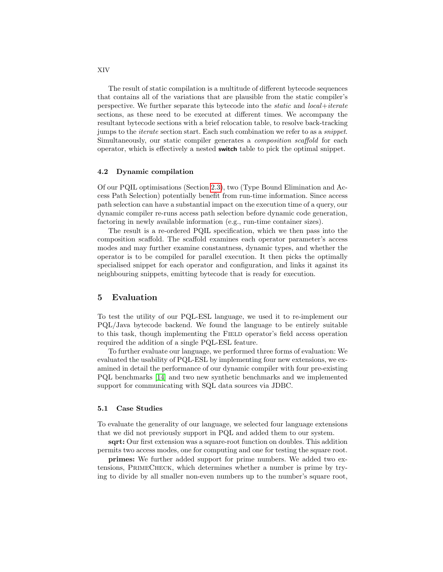The result of static compilation is a multitude of different bytecode sequences that contains all of the variations that are plausible from the static compiler's perspective. We further separate this bytecode into the static and local+iterate sections, as these need to be executed at different times. We accompany the resultant bytecode sections with a brief relocation table, to resolve back-tracking jumps to the iterate section start. Each such combination we refer to as a snippet. Simultaneously, our static compiler generates a composition scaffold for each operator, which is effectively a nested switch table to pick the optimal snippet.

#### 4.2 Dynamic compilation

Of our PQIL optimisations (Section [2.3\)](#page-6-0), two (Type Bound Elimination and Access Path Selection) potentially benefit from run-time information. Since access path selection can have a substantial impact on the execution time of a query, our dynamic compiler re-runs access path selection before dynamic code generation, factoring in newly available information (e.g., run-time container sizes).

The result is a re-ordered PQIL specification, which we then pass into the composition scaffold. The scaffold examines each operator parameter's access modes and may further examine constantness, dynamic types, and whether the operator is to be compiled for parallel execution. It then picks the optimally specialised snippet for each operator and configuration, and links it against its neighbouring snippets, emitting bytecode that is ready for execution.

# <span id="page-13-0"></span>5 Evaluation

To test the utility of our PQL-ESL language, we used it to re-implement our PQL/Java bytecode backend. We found the language to be entirely suitable to this task, though implementing the Field operator's field access operation required the addition of a single PQL-ESL feature.

To further evaluate our language, we performed three forms of evaluation: We evaluated the usability of PQL-ESL by implementing four new extensions, we examined in detail the performance of our dynamic compiler with four pre-existing PQL benchmarks [\[14\]](#page-19-1) and two new synthetic benchmarks and we implemented support for communicating with SQL data sources via JDBC.

## 5.1 Case Studies

To evaluate the generality of our language, we selected four language extensions that we did not previously support in PQL and added them to our system.

sqrt: Our first extension was a square-root function on doubles. This addition permits two access modes, one for computing and one for testing the square root.

primes: We further added support for prime numbers. We added two extensions, PrimeCheck, which determines whether a number is prime by trying to divide by all smaller non-even numbers up to the number's square root,

XIV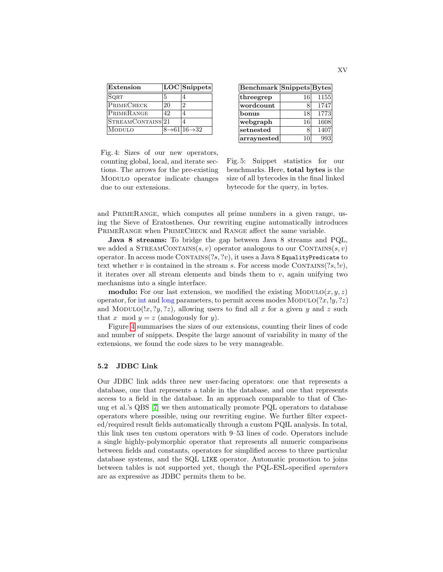<span id="page-14-0"></span>

| $\mathop{\rm Ext}$ ension |    | LOC Snippets                          |
|---------------------------|----|---------------------------------------|
| SQRT                      | 5  |                                       |
| PRIMECHECK                | 20 |                                       |
| PRIMERANGE                | 42 |                                       |
| STREAMCONTAINS 21         |    |                                       |
| MODULO                    |    | $8\rightarrow 61$ 16 $\rightarrow 32$ |

Fig. 4: Sizes of our new operators, counting global, local, and iterate sections. The arrows for the pre-existing MODULO operator indicate changes due to our extensions.

| Benchmark Snippets Bytes |    |      |
|--------------------------|----|------|
| threegrep                | 16 | 1155 |
| wordcount                | 8  | 1747 |
| bonus                    | 18 | 1773 |
| webgraph                 | 16 | 1608 |
| setnested                |    | 1407 |
| arraynested              | 10 | 993  |

Fig. 5: Snippet statistics for our benchmarks. Here, total bytes is the size of all bytecodes in the final linked bytecode for the query, in bytes.

and PRIMERANGE, which computes all prime numbers in a given range, using the Sieve of Eratosthenes. Our rewriting engine automatically introduces PRIMERANGE when PRIMECHECK and RANGE affect the same variable.

Java 8 streams: To bridge the gap between Java 8 streams and PQL, we added a STREAMCONTAINS $(s, v)$  operator analogous to our CONTAINS $(s, v)$ operator. In access mode CONTAINS $(?s, ?v)$ , it uses a Java 8 EqualityPredicate to text whether v is contained in the stream s. For access mode CONTAINS $(?s, !v)$ , it iterates over all stream elements and binds them to  $v$ , again unifying two mechanisms into a single interface.

**modulo:** For our last extension, we modified the existing MODULO $(x, y, z)$ operator, for int and long parameters, to permit access modes MODULO $(2x, y, 2z)$ and MODULO( $x, ?y, ?z$ ), allowing users to find all x for a given y and z such that x mod  $y = z$  (analogously for y).

Figure [4](#page-14-0) summarises the sizes of our extensions, counting their lines of code and number of snippets. Despite the large amount of variability in many of the extensions, we found the code sizes to be very manageable.

## 5.2 JDBC Link

Our JDBC link adds three new user-facing operators: one that represents a database, one that represents a table in the database, and one that represents access to a field in the database. In an approach comparable to that of Cheung et al.'s QBS [\[7\]](#page-19-5) we then automatically promote PQL operators to database operators where possible, using our rewriting engine. We further filter expected/required result fields automatically through a custom PQIL analysis. In total, this link uses ten custom operators with 9–53 lines of code. Operators include a single highly-polymorphic operator that represents all numeric comparisons between fields and constants, operators for simplified access to three particular database systems, and the SQL LIKE operator. Automatic promotion to joins between tables is not supported yet, though the PQL-ESL-specified operators are as expressive as JDBC permits them to be.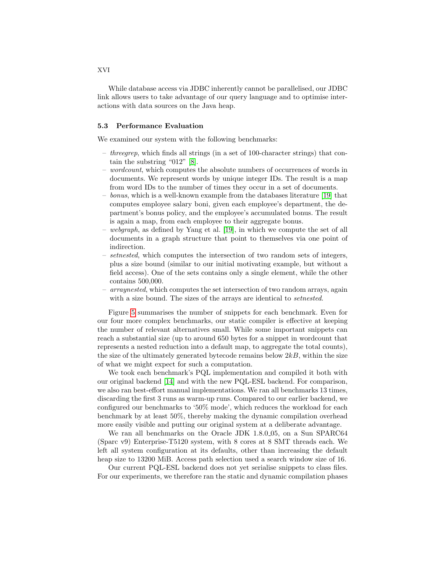While database access via JDBC inherently cannot be parallelised, our JDBC link allows users to take advantage of our query language and to optimise interactions with data sources on the Java heap.

#### 5.3 Performance Evaluation

We examined our system with the following benchmarks:

- threegrep, which finds all strings (in a set of 100-character strings) that contain the substring "012" [\[8\]](#page-19-6).
- wordcount, which computes the absolute numbers of occurrences of words in documents. We represent words by unique integer IDs. The result is a map from word IDs to the number of times they occur in a set of documents.
- bonus, which is a well-known example from the databases literature [\[19\]](#page-19-7) that computes employee salary boni, given each employee's department, the department's bonus policy, and the employee's accumulated bonus. The result is again a map, from each employee to their aggregate bonus.
- webgraph, as defined by Yang et al.  $[19]$ , in which we compute the set of all documents in a graph structure that point to themselves via one point of indirection.
- setnested, which computes the intersection of two random sets of integers, plus a size bound (similar to our initial motivating example, but without a field access). One of the sets contains only a single element, while the other contains 500,000.
- arraynested, which computes the set intersection of two random arrays, again with a size bound. The sizes of the arrays are identical to setnested.

Figure [5](#page-14-0) summarises the number of snippets for each benchmark. Even for our four more complex benchmarks, our static compiler is effective at keeping the number of relevant alternatives small. While some important snippets can reach a substantial size (up to around 650 bytes for a snippet in wordcount that represents a nested reduction into a default map, to aggregate the total counts), the size of the ultimately generated bytecode remains below  $2kB$ , within the size of what we might expect for such a computation.

We took each benchmark's PQL implementation and compiled it both with our original backend [\[14\]](#page-19-1) and with the new PQL-ESL backend. For comparison, we also ran best-effort manual implementations. We ran all benchmarks 13 times, discarding the first 3 runs as warm-up runs. Compared to our earlier backend, we configured our benchmarks to '50% mode', which reduces the workload for each benchmark by at least 50%, thereby making the dynamic compilation overhead more easily visible and putting our original system at a deliberate advantage.

We ran all benchmarks on the Oracle JDK 1.8.0 05, on a Sun SPARC64 (Sparc v9) Enterprise-T5120 system, with 8 cores at 8 SMT threads each. We left all system configuration at its defaults, other than increasing the default heap size to 13200 MiB. Access path selection used a search window size of 16.

Our current PQL-ESL backend does not yet serialise snippets to class files. For our experiments, we therefore ran the static and dynamic compilation phases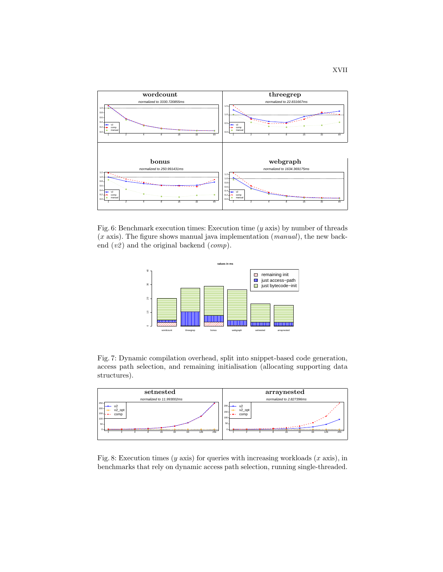<span id="page-16-0"></span>

Fig. 6: Benchmark execution times: Execution time  $(y \text{ axis})$  by number of threads  $(x \text{ axis})$ . The figure shows manual java implementation  $(manual)$ , the new backend  $(v2)$  and the original backend  $(comp)$ .



Fig. 7: Dynamic compilation overhead, split into snippet-based code generation, access path selection, and remaining initialisation (allocating supporting data structures).



Fig. 8: Execution times  $(y \text{ axis})$  for queries with increasing workloads  $(x \text{ axis})$ , in benchmarks that rely on dynamic access path selection, running single-threaded.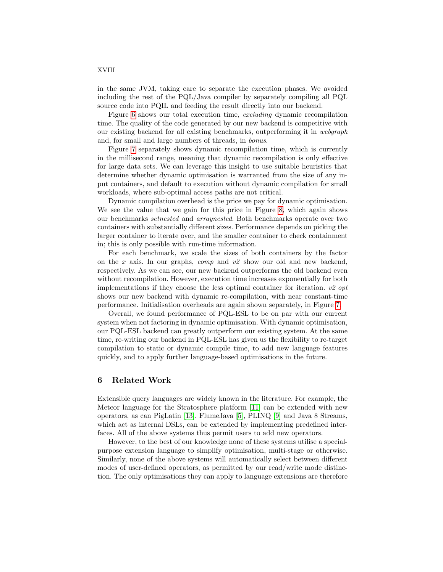in the same JVM, taking care to separate the execution phases. We avoided including the rest of the PQL/Java compiler by separately compiling all PQL source code into PQIL and feeding the result directly into our backend.

Figure [6](#page-16-0) shows our total execution time, excluding dynamic recompilation time. The quality of the code generated by our new backend is competitive with our existing backend for all existing benchmarks, outperforming it in webgraph and, for small and large numbers of threads, in bonus.

Figure [7](#page-16-0) separately shows dynamic recompilation time, which is currently in the millisecond range, meaning that dynamic recompilation is only effective for large data sets. We can leverage this insight to use suitable heuristics that determine whether dynamic optimisation is warranted from the size of any input containers, and default to execution without dynamic compilation for small workloads, where sub-optimal access paths are not critical.

Dynamic compilation overhead is the price we pay for dynamic optimisation. We see the value that we gain for this price in Figure [8,](#page-16-0) which again shows our benchmarks setnested and arraynested. Both benchmarks operate over two containers with substantially different sizes. Performance depends on picking the larger container to iterate over, and the smaller container to check containment in; this is only possible with run-time information.

For each benchmark, we scale the sizes of both containers by the factor on the  $x$  axis. In our graphs,  $comp$  and  $v2$  show our old and new backend, respectively. As we can see, our new backend outperforms the old backend even without recompilation. However, execution time increases exponentially for both implementations if they choose the less optimal container for iteration.  $v2\text{-}opt$ shows our new backend with dynamic re-compilation, with near constant-time performance. Initialisation overheads are again shown separately, in Figure [7.](#page-16-0)

Overall, we found performance of PQL-ESL to be on par with our current system when not factoring in dynamic optimisation. With dynamic optimisation, our PQL-ESL backend can greatly outperform our existing system. At the same time, re-writing our backend in PQL-ESL has given us the flexibility to re-target compilation to static or dynamic compile time, to add new language features quickly, and to apply further language-based optimisations in the future.

## <span id="page-17-0"></span>6 Related Work

Extensible query languages are widely known in the literature. For example, the Meteor language for the Stratosphere platform [\[11\]](#page-19-8) can be extended with new operators, as can PigLatin [\[13\]](#page-19-9). FlumeJava [\[5\]](#page-19-10), PLINQ [\[9\]](#page-19-11) and Java 8 Streams, which act as internal DSLs, can be extended by implementing predefined interfaces. All of the above systems thus permit users to add new operators.

However, to the best of our knowledge none of these systems utilise a specialpurpose extension language to simplify optimisation, multi-stage or otherwise. Similarly, none of the above systems will automatically select between different modes of user-defined operators, as permitted by our read/write mode distinction. The only optimisations they can apply to language extensions are therefore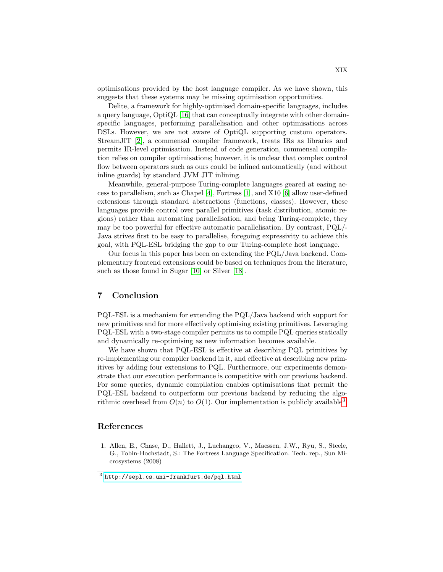optimisations provided by the host language compiler. As we have shown, this suggests that these systems may be missing optimisation opportunities.

Delite, a framework for highly-optimised domain-specific languages, includes a query language, OptiQL [\[16\]](#page-19-12) that can conceptually integrate with other domainspecific languages, performing parallelisation and other optimisations across DSLs. However, we are not aware of OptiQL supporting custom operators. StreamJIT [\[2\]](#page-19-13), a commensal compiler framework, treats IRs as libraries and permits IR-level optimisation. Instead of code generation, commensal compilation relies on compiler optimisations; however, it is unclear that complex control flow between operators such as ours could be inlined automatically (and without inline guards) by standard JVM JIT inlining.

Meanwhile, general-purpose Turing-complete languages geared at easing access to parallelism, such as Chapel [\[4\]](#page-19-14), Fortress [\[1\]](#page-18-1), and X10 [\[6\]](#page-19-15) allow user-defined extensions through standard abstractions (functions, classes). However, these languages provide control over parallel primitives (task distribution, atomic regions) rather than automating parallelisation, and being Turing-complete, they may be too powerful for effective automatic parallelisation. By contrast, PQL/- Java strives first to be easy to parallelise, foregoing expressivity to achieve this goal, with PQL-ESL bridging the gap to our Turing-complete host language.

Our focus in this paper has been on extending the PQL/Java backend. Complementary frontend extensions could be based on techniques from the literature, such as those found in Sugar [\[10\]](#page-19-16) or Silver [\[18\]](#page-19-17).

# <span id="page-18-0"></span>7 Conclusion

PQL-ESL is a mechanism for extending the PQL/Java backend with support for new primitives and for more effectively optimising existing primitives. Leveraging PQL-ESL with a two-stage compiler permits us to compile PQL queries statically and dynamically re-optimising as new information becomes available.

We have shown that PQL-ESL is effective at describing PQL primitives by re-implementing our compiler backend in it, and effective at describing new primitives by adding four extensions to PQL. Furthermore, our experiments demonstrate that our execution performance is competitive with our previous backend. For some queries, dynamic compilation enables optimisations that permit the PQL-ESL backend to outperform our previous backend by reducing the algorithmic overhead from  $O(n)$  to  $O(1)$ . Our implementation is publicly available<sup>[3](#page-18-2)</sup>.

## References

<span id="page-18-1"></span>1. Allen, E., Chase, D., Hallett, J., Luchangco, V., Maessen, J.W., Ryu, S., Steele, G., Tobin-Hochstadt, S.: The Fortress Language Specification. Tech. rep., Sun Microsystems (2008)

<span id="page-18-2"></span> $^3$  <http://sepl.cs.uni-frankfurt.de/pql.html>